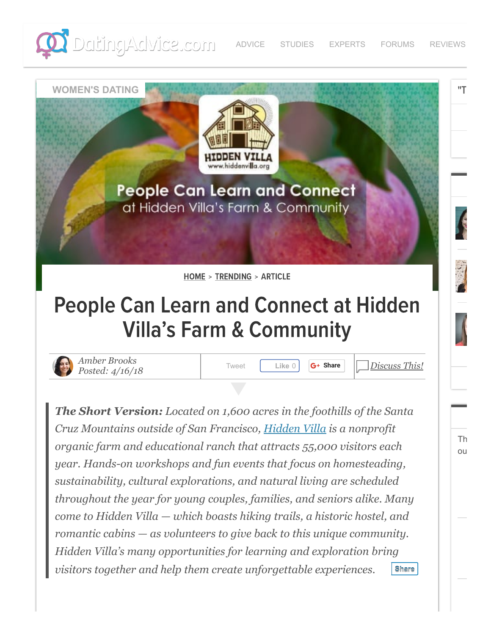



**People Can Learn and Connect** at Hidden Villa's Farm & Community

[HOME](https://www.datingadvice.com/) > [TRENDING](https://www.datingadvice.com/for-women) > ARTICLE

# People Can Learn and Connect at Hidden Villa's Farm & Community



*[Amber Brooks](https://www.datingadvice.com/about/amberbrooks)* **Posted:** 4/16/18 [Tweet](https://twitter.com/intent/tweet?original_referer=https%3A%2F%2Fwww.datingadvice.com%2F&ref_src=twsrc%5Etfw&text=People%20Can%20Learn%20and%20Connect%20at%20Hidden%20Villa%E2%80%99s%20Farm%20%26%20Community&tw_p=tweetbutton&url=https%3A%2F%2Fwww.datingadvice.com%2Ffor-women%2Flearn-and-connect-at-hidden-villa-farm-and-community) **Like** 0 **G+ [Share](https://plus.google.com/share?app=110&url=https%3A%2F%2Fwww.datingadvice.com%2Ffor-women%2Flearn-and-connect-at-hidden-villa-farm-and-community)** 

**WOMEN'S DATING**

*Discuss This!*

"T

Th ou

*The Short Version: Located on 1,600 acres in the foothills of the Santa Cruz Mountains outside of San Francisco, [Hidden Villa](https://www.datingadvice.com/external/?site=763b699a60bcfc5dae1627edd171abf44f98a9abbf520f91a342d173ada3f2a1) is a nonprofit organic farm and educational ranch that attracts 55,000 visitors each year. Hands-on workshops and fun events that focus on homesteading, sustainability, cultural explorations, and natural living are scheduled throughout the year for young couples, families, and seniors alike. Many come to Hidden Villa — which boasts hiking trails, a historic hostel, and romantic cabins — as volunteers to give back to this unique community. Hidden Villa's many opportunities for learning and exploration bring visitors together and help them create unforgettable experiences.* **[Share](javascript:void(0);)**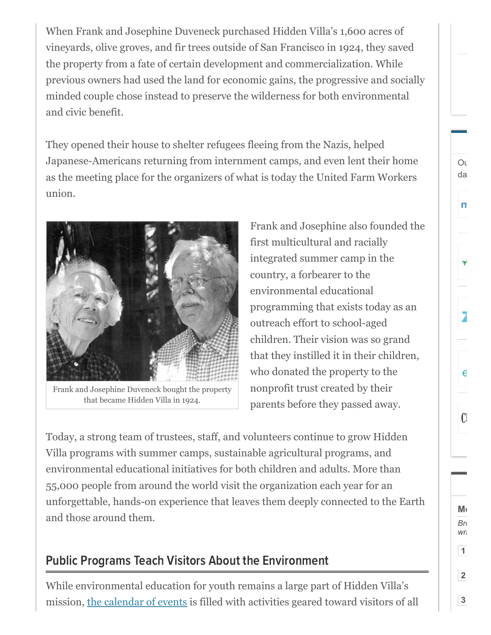When Frank and Josephine Duveneck purchased Hidden Villa's 1,600 acres of vineyards, olive groves, and fir trees outside of San Francisco in 1924, they saved the property from a fate of certain development and commercialization. While previous owners had used the land for economic gains, the progressive and socially minded couple chose instead to preserve the wilderness for both environmental and civic benefit.

They opened their house to shelter refugees fleeing from the Nazis, helped Japanese-Americans returning from internment camps, and even lent their home as the meeting place for the organizers of what is today the United Farm Workers union.



Frank and Josephine Duveneck bought the property that became Hidden Villa in 1924.

Frank and Josephine also founded the first multicultural and racially integrated summer camp in the country, a forbearer to the environmental educational programming that exists today as an outreach effort to school-aged children. Their vision was so grand that they instilled it in their children, who donated the property to the nonprofit trust created by their parents before they passed away.

Today, a strong team of trustees, staff, and volunteers continue to grow Hidden Villa programs with summer camps, sustainable agricultural programs, and environmental educational initiatives for both children and adults. More than 55,000 people from around the world visit the organization each year for an unforgettable, hands-on experience that leaves them deeply connected to the Earth and those around them.

# Public Programs Teach Visitors About the Environment

While environmental education for youth remains a large part of Hidden Villa's mission, [the calendar of events](https://www.datingadvice.com/external/?site=763b699a60bcfc5dae1627edd171abf44f98a9abbf520f91e8d11134c158caf610f5aa1ccb237dbf2d039cfe28c645fdb5fd8d280cb320ff) is filled with activities geared toward visitors of all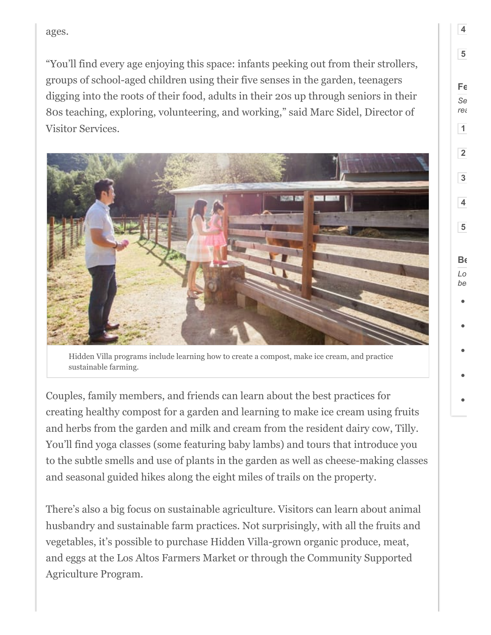ages.

"You'll find every age enjoying this space: infants peeking out from their strollers, groups of school-aged children using their five senses in the garden, teenagers digging into the roots of their food, adults in their 20s up through seniors in their 80s teaching, exploring, volunteering, and working," said Marc Sidel, Director of Visitor Services.



Hidden Villa programs include learning how to create a compost, make ice cream, and practice sustainable farming.

Couples, family members, and friends can learn about the best practices for creating healthy compost for a garden and learning to make ice cream using fruits and herbs from the garden and milk and cream from the resident dairy cow, Tilly. You'll find yoga classes (some featuring baby lambs) and tours that introduce you to the subtle smells and use of plants in the garden as well as cheese-making classes and seasonal guided hikes along the eight miles of trails on the property.

There's also a big focus on sustainable agriculture. Visitors can learn about animal husbandry and sustainable farm practices. Not surprisingly, with all the fruits and vegetables, it's possible to purchase Hidden Villa-grown organic produce, meat, and eggs at the Los Altos Farmers Market or through the Community Supported Agriculture Program.

**4**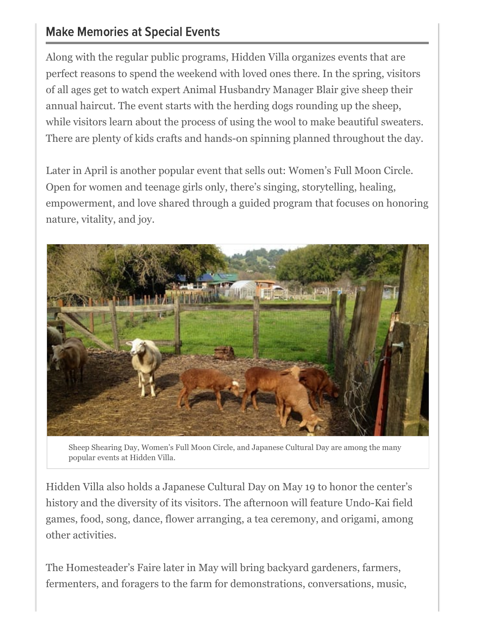### Make Memories at Special Events

Along with the regular public programs, Hidden Villa organizes events that are perfect reasons to spend the weekend with loved ones there. In the spring, visitors of all ages get to watch expert Animal Husbandry Manager Blair give sheep their annual haircut. The event starts with the herding dogs rounding up the sheep, while visitors learn about the process of using the wool to make beautiful sweaters. There are plenty of kids crafts and hands-on spinning planned throughout the day.

Later in April is another popular event that sells out: Women's Full Moon Circle. Open for women and teenage girls only, there's singing, storytelling, healing, empowerment, and love shared through a guided program that focuses on honoring nature, vitality, and joy.



Sheep Shearing Day, Women's Full Moon Circle, and Japanese Cultural Day are among the many popular events at Hidden Villa.

Hidden Villa also holds a Japanese Cultural Day on May 19 to honor the center's history and the diversity of its visitors. The afternoon will feature Undo-Kai field games, food, song, dance, flower arranging, a tea ceremony, and origami, among other activities.

The Homesteader's Faire later in May will bring backyard gardeners, farmers, fermenters, and foragers to the farm for demonstrations, conversations, music,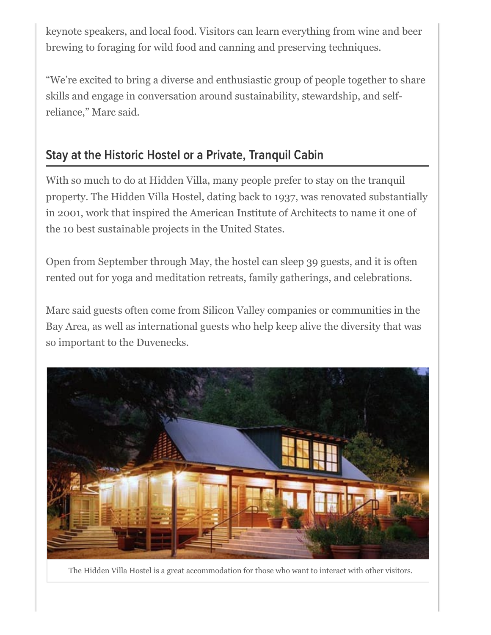keynote speakers, and local food. Visitors can learn everything from wine and beer brewing to foraging for wild food and canning and preserving techniques.

"We're excited to bring a diverse and enthusiastic group of people together to share skills and engage in conversation around sustainability, stewardship, and selfreliance," Marc said.

# Stay at the Historic Hostel or a Private, Tranquil Cabin

With so much to do at Hidden Villa, many people prefer to stay on the tranquil property. The Hidden Villa Hostel, dating back to 1937, was renovated substantially in 2001, work that inspired the American Institute of Architects to name it one of the 10 best sustainable projects in the United States.

Open from September through May, the hostel can sleep 39 guests, and it is often rented out for yoga and meditation retreats, family gatherings, and celebrations.

Marc said guests often come from Silicon Valley companies or communities in the Bay Area, as well as international guests who help keep alive the diversity that was so important to the Duvenecks.



The Hidden Villa Hostel is a great accommodation for those who want to interact with other visitors.